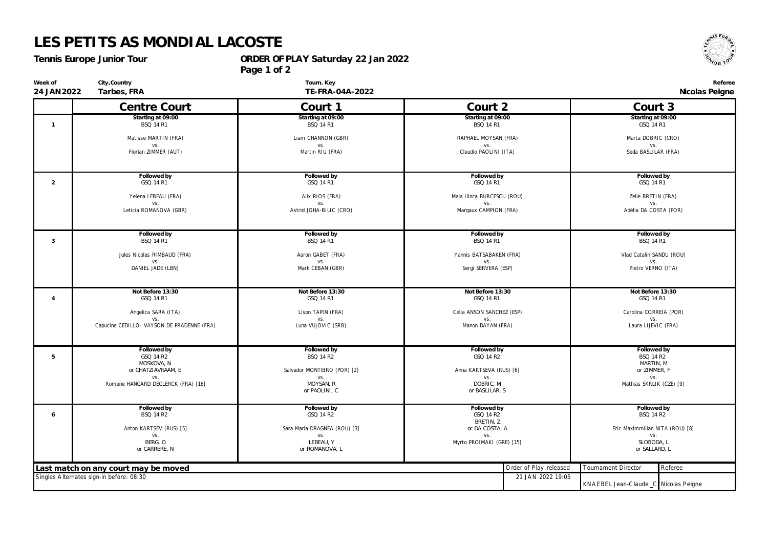## **LES PETITS AS MONDIAL LACOSTE**

*Tennis Europe Junior Tour*

**City,Country**

**Week of 24 JAN2022** **ORDER OF PLAY Saturday 22 Jan 2022**

**Page 1 of 2**



**Referee**

**Tarbes, FRA**

**Tourn. Key TE-FRA-04A-2022**

| 24 JAN 2022                                                   | Tarbes, FRA                                | TE-FRA-04A-2022                            |                                       |                        | Nicolas Peigne                        |         |
|---------------------------------------------------------------|--------------------------------------------|--------------------------------------------|---------------------------------------|------------------------|---------------------------------------|---------|
|                                                               | Centre Court                               | Court 1                                    | Court 2                               |                        | Court 3                               |         |
| $\mathbf{1}$                                                  | Starting at 09:00<br><b>BSQ 14 R1</b>      | Starting at 09:00<br><b>BSQ 14 R1</b>      | Starting at 09:00<br><b>BSQ 14 R1</b> |                        | Starting at 09:00<br>GSQ 14 R1        |         |
|                                                               | Matisse MARTIN (FRA)                       | Liam CHANNON (GBR)<br>RAPHAEL MOYSAN (FRA) |                                       | Marta DOBRIC (CRO)     |                                       |         |
|                                                               | VS.<br>Florian ZIMMER (AUT)                | VS.<br>Martin RIU (FRA)                    | VS.<br>Claudio PAOLINI (ITA)          |                        | VS.<br>Seda BASLILAR (FRA)            |         |
| 2                                                             | Followed by<br>GSQ 14 R1                   | Followed by<br>GSQ 14 R1                   | Followed by<br>GSQ 14 R1              |                        | Followed by<br>GSQ 14 R1              |         |
|                                                               | Yelena LEBEAU (FRA)                        | Alix RIOS (FRA)                            | Maia Ilinca BURCESCU (ROU)            |                        | Zelie BRETIN (FRA)                    |         |
|                                                               | VS.<br>Leticia ROMANOVA (GBR)              | VS.<br>Astrid JOHA-BILIC (CRO)             | VS.<br>Margaux CAMPION (FRA)          |                        | VS.<br>Adélia DA COSTA (POR)          |         |
| 3                                                             | Followed by<br><b>BSQ 14 R1</b>            | Followed by<br><b>BSQ 14 R1</b>            | Followed by<br><b>BSQ 14 R1</b>       |                        | Followed by<br><b>BSQ 14 R1</b>       |         |
|                                                               | Jules Nicolas RIMBAUD (FRA)                | Aaron GABET (FRA)                          | Yannis BATSABAKEN (FRA)               |                        | Vlad Catalin SANDU (ROU)              |         |
|                                                               | VS.<br>DANIEL JADE (LBN)                   | VS.<br>Mark CEBAN (GBR)                    | VS.<br>Sergi SERVERA (ESP)            |                        | VS.<br>Pietro VERNO (ITA)             |         |
|                                                               | Not Before 13:30                           | Not Before 13:30                           | Not Before 13:30                      |                        | Not Before 13:30                      |         |
| $\overline{4}$                                                | GSQ 14 R1                                  | GSQ 14 R1                                  | GSQ 14 R1                             |                        | GSQ 14 R1                             |         |
|                                                               | Angelica SARA (ITA)                        | Lison TAPIN (FRA)                          | Celia ANSON SANCHEZ (ESP)             |                        | Carolina CORREIA (POR)                |         |
|                                                               | Capucine CEDILLO- VAYSON DE PRADENNE (FRA) | Luna VUJOVIC (SRB)                         | Manon DAYAN (FRA)                     |                        | Laura LIJEVIC (FRA)                   |         |
| 5                                                             | Followed by<br>GSQ 14 R2                   | Followed by<br><b>BSQ 14 R2</b>            | Followed by<br>GSQ 14 R2              |                        | Followed by<br><b>BSQ 14 R2</b>       |         |
|                                                               | MOSKOVA, N<br>or CHATZIAVRAAM, E           | Salvador MONTEIRO (POR) [2]                | Anna KARTSEVA (RUS) [6]               |                        | MARTIN, M<br>or ZIMMER, F             |         |
|                                                               | VS.                                        | VS.                                        | VS.                                   |                        | VS.                                   |         |
|                                                               | Romane HANGARD DECLERCK (FRA) [16]         | MOYSAN, R<br>or PAOLINI, C                 | DOBRIC, M<br>or BASLILAR, S           |                        | Mathias SKRLIK (CZE) [9]              |         |
| 6                                                             | Followed by<br><b>BSQ 14 R2</b>            | Followed by<br>GSQ 14 R2                   | Followed by<br>GSQ 14 R2              |                        | Followed by<br><b>BSQ 14 R2</b>       |         |
|                                                               | Anton KARTSEV (RUS) [5]                    | Sara Maria DRAGNEA (ROU) [3]               | BRETIN, Z<br>or DA COSTA, A           |                        | Eric Maximmilian NITA (ROU) [8]       |         |
|                                                               | VS.                                        | VS.                                        | VS.                                   |                        | VS.<br>SLOBODA, L                     |         |
|                                                               | BERG, O<br>or CARRERE, N                   | LEBEAU, Y<br>or ROMANOVA, L                | Myrto PROIMAKI (GRE) [15]             |                        | or SALLARD, L                         |         |
|                                                               | Last match on any court may be moved       |                                            |                                       | Order of Play released | Tournament Director                   | Referee |
| Singles Alternates sign-in before: 08:30<br>21 JAN 2022 19:05 |                                            |                                            |                                       |                        | KNAEBEL Jean-Claude _C Nicolas Peigne |         |